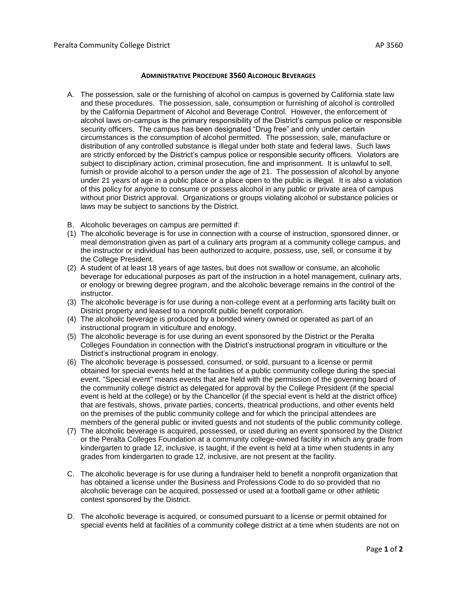## **ADMINISTRATIVE PROCEDURE 3560 ALCOHOLIC BEVERAGES**

- A. The possession, sale or the furnishing of alcohol on campus is governed by California state law and these procedures. The possession, sale, consumption or furnishing of alcohol is controlled by the California Department of Alcohol and Beverage Control. However, the enforcement of alcohol laws on-campus is the primary responsibility of the District's campus police or responsible security officers. The campus has been designated "Drug free" and only under certain circumstances is the consumption of alcohol permitted. The possession, sale, manufacture or distribution of any controlled substance is illegal under both state and federal laws. Such laws are strictly enforced by the District's campus police or responsible security officers. Violators are subject to disciplinary action, criminal prosecution, fine and imprisonment. It is unlawful to sell, furnish or provide alcohol to a person under the age of 21. The possession of alcohol by anyone under 21 years of age in a public place or a place open to the public is illegal. It is also a violation of this policy for anyone to consume or possess alcohol in any public or private area of campus without prior District approval. Organizations or groups violating alcohol or substance policies or laws may be subject to sanctions by the District.
- B. Alcoholic beverages on campus are permitted if:
- (1) The alcoholic beverage is for use in connection with a course of instruction, sponsored dinner, or meal demonstration given as part of a culinary arts program at a community college campus, and the instructor or individual has been authorized to acquire, possess, use, sell, or consume it by the College President.
- (2) A student of at least 18 years of age tastes, but does not swallow or consume, an alcoholic beverage for educational purposes as part of the instruction in a hotel management, culinary arts, or enology or brewing degree program, and the alcoholic beverage remains in the control of the instructor.
- (3) The alcoholic beverage is for use during a non-college event at a performing arts facility built on District property and leased to a nonprofit public benefit corporation.
- (4) The alcoholic beverage is produced by a bonded winery owned or operated as part of an instructional program in viticulture and enology.
- (5) The alcoholic beverage is for use during an event sponsored by the District or the Peralta Colleges Foundation in connection with the District's instructional program in viticulture or the District's instructional program in enology.
- (6) The alcoholic beverage is possessed, consumed, or sold, pursuant to a license or permit obtained for special events held at the facilities of a public community college during the special event. "Special event" means events that are held with the permission of the governing board of the community college district as delegated for approval by the College President (if the special event is held at the college) or by the Chancellor (if the special event is held at the district office) that are festivals, shows, private parties, concerts, theatrical productions, and other events held on the premises of the public community college and for which the principal attendees are members of the general public or invited guests and not students of the public community college.
- (7) The alcoholic beverage is acquired, possessed, or used during an event sponsored by the District or the Peralta Colleges Foundation at a community college-owned facility in which any grade from kindergarten to grade 12, inclusive, is taught, if the event is held at a time when students in any grades from kindergarten to grade 12, inclusive, are not present at the facility.
- C. The alcoholic beverage is for use during a fundraiser held to benefit a nonprofit organization that has obtained a license under the Business and Professions Code to do so provided that no alcoholic beverage can be acquired, possessed or used at a football game or other athletic contest sponsored by the District.
- D. The alcoholic beverage is acquired, or consumed pursuant to a license or permit obtained for special events held at facilities of a community college district at a time when students are not on